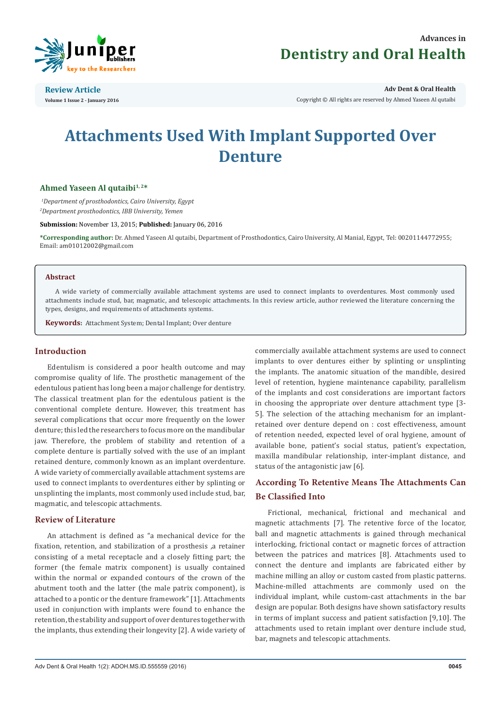

**Review Article Volume 1 Issue 2 - January 2016** **Adv Dent & Oral Health** 

Copyright © All rights are reserved by Ahmed Yaseen Al qutaibi

# **Attachments Used With Implant Supported Over Denture**

# Ahmed Yaseen Al qutaibi<sup>1,2\*</sup>

*1 Department of prosthodontics, Cairo University, Egypt 2 Department prosthodontics, IBB University, Yemen*

**Submission:** November 13, 2015; **Published:** January 06, 2016

**\*Corresponding author:** Dr. Ahmed Yaseen Al qutaibi, Department of Prosthodontics, Cairo University, Al Manial, Egypt, Tel: 00201144772955; Email: am01012002@gmail.com

## **Abstract**

A wide variety of commercially available attachment systems are used to connect implants to overdentures. Most commonly used attachments include stud, bar, magmatic, and telescopic attachments. In this review article, author reviewed the literature concerning the types, designs, and requirements of attachments systems.

**Keywords:** Attachment System; Dental Implant; Over denture

# **Introduction**

Edentulism is considered a poor health outcome and may compromise quality of life. The prosthetic management of the edentulous patient has long been a major challenge for dentistry. The classical treatment plan for the edentulous patient is the conventional complete denture. However, this treatment has several complications that occur more frequently on the lower denture; this led the researchers to focus more on the mandibular jaw. Therefore, the problem of stability and retention of a complete denture is partially solved with the use of an implant retained denture, commonly known as an implant overdenture. A wide variety of commercially available attachment systems are used to connect implants to overdentures either by splinting or unsplinting the implants, most commonly used include stud, bar, magmatic, and telescopic attachments.

# **Review of Literature**

An attachment is defined as "a mechanical device for the fixation, retention, and stabilization of a prosthesis ,a retainer consisting of a metal receptacle and a closely fitting part; the former (the female matrix component) is usually contained within the normal or expanded contours of the crown of the abutment tooth and the latter (the male patrix component), is attached to a pontic or the denture framework" [1]. Attachments used in conjunction with implants were found to enhance the retention, the stability and support of over dentures together with the implants, thus extending their longevity [2]. A wide variety of commercially available attachment systems are used to connect implants to over dentures either by splinting or unsplinting the implants. The anatomic situation of the mandible, desired level of retention, hygiene maintenance capability, parallelism of the implants and cost considerations are important factors in choosing the appropriate over denture attachment type [3- 5]. The selection of the attaching mechanism for an implantretained over denture depend on : cost effectiveness, amount of retention needed, expected level of oral hygiene, amount of available bone, patient's social status, patient's expectation, maxilla mandibular relationship, inter-implant distance, and status of the antagonistic jaw [6].

# **According To Retentive Means The Attachments Can Be Classified Into**

Frictional, mechanical, frictional and mechanical and magnetic attachments [7]. The retentive force of the locator, ball and magnetic attachments is gained through mechanical interlocking, frictional contact or magnetic forces of attraction between the patrices and matrices [8]. Attachments used to connect the denture and implants are fabricated either by machine milling an alloy or custom casted from plastic patterns. Machine-milled attachments are commonly used on the individual implant, while custom-cast attachments in the bar design are popular. Both designs have shown satisfactory results in terms of implant success and patient satisfaction [9,10]. The attachments used to retain implant over denture include stud, bar, magnets and telescopic attachments.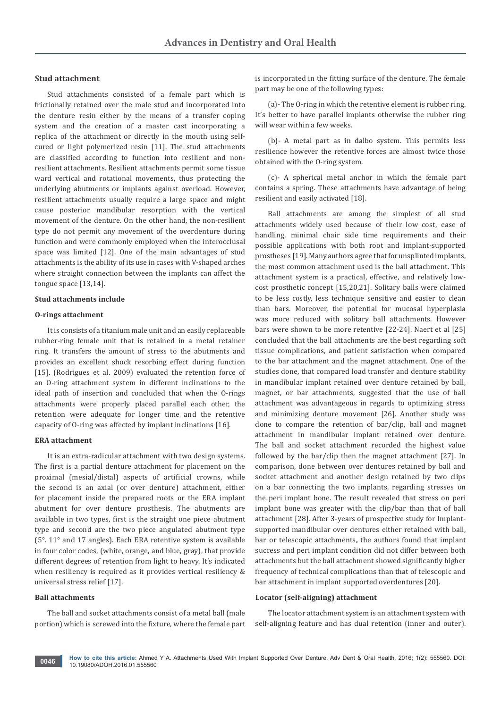# **Stud attachment**

Stud attachments consisted of a female part which is frictionally retained over the male stud and incorporated into the denture resin either by the means of a transfer coping system and the creation of a master cast incorporating a replica of the attachment or directly in the mouth using selfcured or light polymerized resin [11]. The stud attachments are classified according to function into resilient and nonresilient attachments. Resilient attachments permit some tissue ward vertical and rotational movements, thus protecting the underlying abutments or implants against overload. However, resilient attachments usually require a large space and might cause posterior mandibular resorption with the vertical movement of the denture. On the other hand, the non-resilient type do not permit any movement of the overdenture during function and were commonly employed when the interocclusal space was limited [12]. One of the main advantages of stud attachments is the ability of its use in cases with V-shaped arches where straight connection between the implants can affect the tongue space [13,14].

#### **Stud attachments include**

# **O-rings attachment**

It is consists of a titanium male unit and an easily replaceable rubber-ring female unit that is retained in a metal retainer ring. It transfers the amount of stress to the abutments and provides an excellent shock resorbing effect during function [15]. (Rodrigues et al. 2009) evaluated the retention force of an O-ring attachment system in different inclinations to the ideal path of insertion and concluded that when the O-rings attachments were properly placed parallel each other, the retention were adequate for longer time and the retentive capacity of O-ring was affected by implant inclinations [16].

#### **ERA attachment**

It is an extra-radicular attachment with two design systems. The first is a partial denture attachment for placement on the proximal (mesial/distal) aspects of artificial crowns, while the second is an axial (or over denture) attachment, either for placement inside the prepared roots or the ERA implant abutment for over denture prosthesis. The abutments are available in two types, first is the straight one piece abutment type and second are the two piece angulated abutment type (5°. 11° and 17 angles). Each ERA retentive system is available in four color codes, (white, orange, and blue, gray), that provide different degrees of retention from light to heavy. It's indicated when resiliency is required as it provides vertical resiliency & universal stress relief [17].

#### **Ball attachments**

The ball and socket attachments consist of a metal ball (male portion) which is screwed into the fixture, where the female part is incorporated in the fitting surface of the denture. The female part may be one of the following types:

(a)- The O-ring in which the retentive element is rubber ring. It's better to have parallel implants otherwise the rubber ring will wear within a few weeks.

(b)- A metal part as in dalbo system. This permits less resilience however the retentive forces are almost twice those obtained with the O-ring system.

(c)- A spherical metal anchor in which the female part contains a spring. These attachments have advantage of being resilient and easily activated [18].

Ball attachments are among the simplest of all stud attachments widely used because of their low cost, ease of handling, minimal chair side time requirements and their possible applications with both root and implant-supported prostheses [19]. Many authors agree that for unsplinted implants, the most common attachment used is the ball attachment. This attachment system is a practical, effective, and relatively lowcost prosthetic concept [15,20,21]. Solitary balls were claimed to be less costly, less technique sensitive and easier to clean than bars. Moreover, the potential for mucosal hyperplasia was more reduced with solitary ball attachments. However bars were shown to be more retentive [22-24]. Naert et al [25] concluded that the ball attachments are the best regarding soft tissue complications, and patient satisfaction when compared to the bar attachment and the magnet attachment. One of the studies done, that compared load transfer and denture stability in mandibular implant retained over denture retained by ball, magnet, or bar attachments, suggested that the use of ball attachment was advantageous in regards to optimizing stress and minimizing denture movement [26]. Another study was done to compare the retention of bar/clip, ball and magnet attachment in mandibular implant retained over denture. The ball and socket attachment recorded the highest value followed by the bar/clip then the magnet attachment [27]. In comparison, done between over dentures retained by ball and socket attachment and another design retained by two clips on a bar connecting the two implants, regarding stresses on the peri implant bone. The result revealed that stress on peri implant bone was greater with the clip/bar than that of ball attachment [28]. After 3-years of prospective study for Implantsupported mandibular over dentures either retained with ball, bar or telescopic attachments**,** the authors found that implant success and peri implant condition did not differ between both attachments but the ball attachment showed significantly higher frequency of technical complications than that of telescopic and bar attachment in implant supported overdentures [20].

#### **Locator (self-aligning) attachment**

The locator attachment system is an attachment system with self-aligning feature and has dual retention (inner and outer).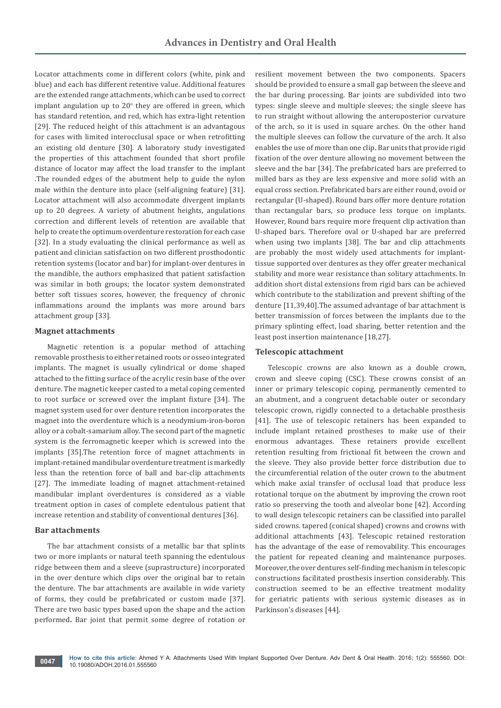Locator attachments come in different colors (white, pink and blue) and each has different retentive value. Additional features are the extended range attachments, which can be used to correct implant angulation up to  $20^{\circ}$  they are offered in green, which has standard retention, and red, which has extra-light retention [29]. The reduced height of this attachment is an advantagous for cases with limited interocclusal space or when retrofitting an existing old denture [30]. A laboratory study investigated the properties of this attachment founded that short profile distance of locator may affect the load transfer to the implant .The rounded edges of the abutment help to guide the nylon male within the denture into place (self-aligning feature) [31]. Locator attachment will also accommodate divergent implants up to 20 degrees. A variety of abutment heights, angulations correction and different levels of retention are available that help to create the optimum overdenture restoration for each case [32]. In a study evaluating the clinical performance as well as patient and clinician satisfaction on two different prosthodontic retention systems (locator and bar) for implant-over dentures in the mandible, the authors emphasized that patient satisfaction was similar in both groups; the locator system demonstrated better soft tissues scores, however, the frequency of chronic inflammations around the implants was more around bars attachment group [33].

#### **Magnet attachments**

Magnetic retention is a popular method of attaching removable prosthesis to either retained roots or osseo integrated implants. The magnet is usually cylindrical or dome shaped attached to the fitting surface of the acrylic resin base of the over denture. The magnetic keeper casted to a metal coping cemented to root surface or screwed over the implant fixture [34]. The magnet system used for over denture retention incorporates the magnet into the overdenture which is a neodymium-iron-boron alloy or a cobalt-samarium alloy. The second part of the magnetic system is the ferromagnetic keeper which is screwed into the implants [35].The retention force of magnet attachments in implant-retained mandibular overdenture treatment is markedly less than the retention force of ball and bar-clip attachments [27]. The immediate loading of magnet attachment-retained mandibular implant overdentures is considered as a viable treatment option in cases of complete edentulous patient that increase retention and stability of conventional dentures [36].

# **Bar attachments**

The bar attachment consists of a metallic bar that splints two or more implants or natural teeth spanning the edentulous ridge between them and a sleeve (suprastructure) incorporated in the over denture which clips over the original bar to retain the denture. The bar attachments are available in wide variety of forms, they could be prefabricated or custom made [37]. There are two basic types based upon the shape and the action performed**.** Bar joint that permit some degree of rotation or

resilient movement between the two components. Spacers should be provided to ensure a small gap between the sleeve and the bar during processing. Bar joints are subdivided into two types: single sleeve and multiple sleeves; the single sleeve has to run straight without allowing the anteroposterior curvature of the arch, so it is used in square arches. On the other hand the multiple sleeves can follow the curvature of the arch. It also enables the use of more than one clip. Bar units that provide rigid fixation of the over denture allowing no movement between the sleeve and the bar [34]. The prefabricated bars are preferred to milled bars as they are less expensive and more solid with an equal cross section. Prefabricated bars are either round, ovoid or rectangular (U-shaped). Round bars offer more denture rotation than rectangular bars, so produce less torque on implants. However, Round bars require more frequent clip activation than U-shaped bars. Therefore oval or U-shaped bar are preferred when using two implants [38]. The bar and clip attachments are probably the most widely used attachments for implanttissue supported over dentures as they offer greater mechanical stability and more wear resistance than solitary attachments. In addition short distal extensions from rigid bars can be achieved which contribute to the stabilization and prevent shifting of the denture [11,39,40].The assumed advantage of bar attachment is better transmission of forces between the implants due to the primary splinting effect, load sharing, better retention and the least post insertion maintenance [18,27].

#### **Telescopic attachment**

Telescopic crowns are also known as a double crown, crown and sleeve coping (CSC). These crowns consist of an inner or primary telescopic coping, permanently cemented to an abutment, and a congruent detachable outer or secondary telescopic crown, rigidly connected to a detachable prosthesis [41]. The use of telescopic retainers has been expanded to include implant retained prostheses to make use of their enormous advantages. These retainers provide excellent retention resulting from frictional fit between the crown and the sleeve. They also provide better force distribution due to the circumferential relation of the outer crown to the abutment which make axial transfer of occlusal load that produce less rotational torque on the abutment by improving the crown root ratio so preserving the tooth and alveolar bone [42]. According to wall design telescopic retainers can be classified into parallel sided crowns. tapered (conical shaped) crowns and crowns with additional attachments [43]. Telescopic retained restoration has the advantage of the ease of removability. This encourages the patient for repeated cleaning and maintenance purposes. Moreover, the over dentures self-finding mechanism in telescopic constructions facilitated prosthesis insertion considerably. This construction seemed to be an effective treatment modality for geriatric patients with serious systemic diseases as in Parkinson's diseases [44].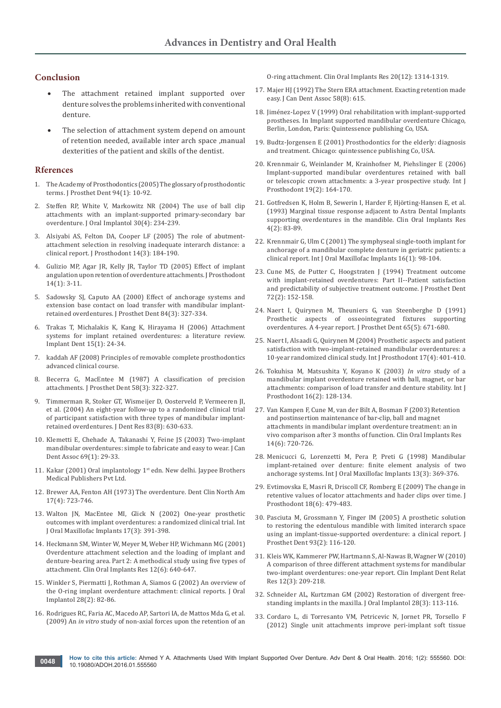# **Conclusion**

- The attachment retained implant supported over denture solves the problems inherited with conventional denture.
- The selection of attachment system depend on amount of retention needed, available inter arch space ,manual dexterities of the patient and skills of the dentist.

### **Rferences**

- 1. [The Academy of Prosthodontics \(2005\) The glossary of prosthodontic](http://www.ncbi.nlm.nih.gov/pubmed/16080238)  [terms. J Prosthet Dent 94\(1\): 10-92.](http://www.ncbi.nlm.nih.gov/pubmed/16080238)
- 2. [Steffen RP, White V, Markowitz NR \(2004\) The use of ball clip](http://www.joionline.org/doi/full/10.1563/0.661.1)  [attachments with an implant-supported primary-secondary bar](http://www.joionline.org/doi/full/10.1563/0.661.1)  [overdenture. J Oral Implantol 30\(4\): 234-239.](http://www.joionline.org/doi/full/10.1563/0.661.1)
- 3. [Alsiyabi AS, Felton DA, Cooper LF \(2005\) The role of abutment](http://www.ncbi.nlm.nih.gov/pubmed/16336236)[attachment selection in resolving inadequate interarch distance: a](http://www.ncbi.nlm.nih.gov/pubmed/16336236)  [clinical report. J Prosthodont 14\(3\): 184-190.](http://www.ncbi.nlm.nih.gov/pubmed/16336236)
- 4. [Gulizio MP, Agar JR, Kelly JR, Taylor TD \(2005\) Effect of implant](http://www.ncbi.nlm.nih.gov/pubmed/15733129)  [angulation upon retention of overdenture attachments. J Prosthodont](http://www.ncbi.nlm.nih.gov/pubmed/15733129)  [14\(1\): 3-11.](http://www.ncbi.nlm.nih.gov/pubmed/15733129)
- 5. [Sadowsky SJ, Caputo AA \(2000\) Effect of anchorage systems and](http://www.ncbi.nlm.nih.gov/pubmed/11005906)  [extension base contact on load transfer with mandibular implant](http://www.ncbi.nlm.nih.gov/pubmed/11005906)[retained overdentures. J Prosthet Dent 84\(3\): 327-334.](http://www.ncbi.nlm.nih.gov/pubmed/11005906)
- 6. [Trakas T, Michalakis K, Kang K, Hirayama H \(2006\) Attachment](http://www.ncbi.nlm.nih.gov/pubmed/16569958)  [systems for implant retained overdentures: a literature review.](http://www.ncbi.nlm.nih.gov/pubmed/16569958)  [Implant Dent 15\(1\): 24-34.](http://www.ncbi.nlm.nih.gov/pubmed/16569958)
- 7. kaddah AF (2008) Principles of removable complete prosthodontics advanced clinical course.
- 8. [Becerra G, MacEntee M \(1987\) A classification of precision](http://www.ncbi.nlm.nih.gov/pubmed/3305898)  [attachments. J Prosthet Dent 58\(3\): 322-327.](http://www.ncbi.nlm.nih.gov/pubmed/3305898)
- 9. [Timmerman R, Stoker GT, Wismeijer D, Oosterveld P, Vermeeren JI,](http://www.ncbi.nlm.nih.gov/pubmed/15271972)  [et al. \(2004\) An eight-year follow-up to a randomized clinical trial](http://www.ncbi.nlm.nih.gov/pubmed/15271972)  [of participant satisfaction with three types of mandibular implant](http://www.ncbi.nlm.nih.gov/pubmed/15271972)[retained overdentures. J Dent Res 83\(8\): 630-633.](http://www.ncbi.nlm.nih.gov/pubmed/15271972)
- 10. [Klemetti E, Chehade A, Takanashi Y, Feine JS \(2003\) Two-implant](http://www.ncbi.nlm.nih.gov/pubmed/12556267)  [mandibular overdentures: simple to fabricate and easy to wear. J Can](http://www.ncbi.nlm.nih.gov/pubmed/12556267)  [Dent Assoc 69\(1\): 29-33.](http://www.ncbi.nlm.nih.gov/pubmed/12556267)
- 11. Kakar (2001) Oral implantology 1<sup>st</sup> edn. New delhi. Jaypee Brothers Medical Publishers Pvt Ltd.
- 12. [Brewer AA, Fenton AH \(1973\) The overdenture. Dent Clin North Am](http://www.ncbi.nlm.nih.gov/pubmed/4580361)  [17\(4\): 723-746.](http://www.ncbi.nlm.nih.gov/pubmed/4580361)
- 13. [Walton JN, MacEntee MI, Glick N \(2002\) One-year prosthetic](http://www.ncbi.nlm.nih.gov/pubmed/12074455)  [outcomes with implant overdentures: a randomized clinical trial. Int](http://www.ncbi.nlm.nih.gov/pubmed/12074455)  [J Oral Maxillofac Implants 17\(3\): 391-398.](http://www.ncbi.nlm.nih.gov/pubmed/12074455)
- 14. [Heckmann SM, Winter W, Meyer M, Weber HP, Wichmann MG \(2001\)](http://www.ncbi.nlm.nih.gov/pubmed/11737109)  [Overdenture attachment selection and the loading of implant and](http://www.ncbi.nlm.nih.gov/pubmed/11737109)  [denture-bearing area. Part 2: A methodical study using five types of](http://www.ncbi.nlm.nih.gov/pubmed/11737109)  [attachment. Clin Oral Implants Res 12\(6\): 640-647.](http://www.ncbi.nlm.nih.gov/pubmed/11737109)
- 15. [Winkler S, Piermatti J, Rothman A, Siamos G \(2002\) An overview of](http://www.ncbi.nlm.nih.gov/pubmed/12498450)  [the O-ring implant overdenture attachment: clinical reports. J Oral](http://www.ncbi.nlm.nih.gov/pubmed/12498450)  [Implantol 28\(2\): 82-86.](http://www.ncbi.nlm.nih.gov/pubmed/12498450)
- 16. [Rodrigues RC, Faria AC, Macedo AP, Sartori IA, de Mattos Mda G, et al.](http://www.ncbi.nlm.nih.gov/pubmed/19681968)  (2009) An *in vitro* [study of non-axial forces upon the retention of an](http://www.ncbi.nlm.nih.gov/pubmed/19681968)

[O-ring attachment. Clin Oral Implants Res 20\(12\): 1314-1319.](http://www.ncbi.nlm.nih.gov/pubmed/19681968)

- 17. [Majer HJ \(1992\) The Stern ERA attachment. Exacting retention made](http://www.ncbi.nlm.nih.gov/pubmed/1504896)  [easy. J Can Dent Assoc 58\(8\): 615.](http://www.ncbi.nlm.nih.gov/pubmed/1504896)
- 18. Jiménez-Lopez V (1999) Oral rehabilitation with implant-supported prostheses. In Implant supported mandibular overdenture Chicago, Berlin, London, Paris: Quintessence publishing Co, USA.
- 19. Budtz-Jorgensen E (2001) Prosthodontics for the elderly: diagnosis and treatment. Chicago: quintessence publishing Co, USA.
- 20. [Krennmair G, Weinlander M, Krainhofner M, Piehslinger E \(2006\)](http://www.ncbi.nlm.nih.gov/pubmed/16602365)  [Implant-supported mandibular overdentures retained with ball](http://www.ncbi.nlm.nih.gov/pubmed/16602365)  [or telescopic crown attachments: a 3-year prospective study. Int J](http://www.ncbi.nlm.nih.gov/pubmed/16602365)  [Prosthodont 19\(2\): 164-170.](http://www.ncbi.nlm.nih.gov/pubmed/16602365)
- 21. [Gotfredsen K, Holm B, Sewerin I, Harder F, Hjörting-Hansen E, et al.](http://www.ncbi.nlm.nih.gov/pubmed/7692992)  [\(1993\) Marginal tissue response adjacent to Astra Dental Implants](http://www.ncbi.nlm.nih.gov/pubmed/7692992)  [supporting overdentures in the mandible. Clin Oral Implants Res](http://www.ncbi.nlm.nih.gov/pubmed/7692992)  [4\(2\): 83-89.](http://www.ncbi.nlm.nih.gov/pubmed/7692992)
- 22. [Krennmair G, Ulm C \(2001\) The symphyseal single-tooth implant for](http://www.ncbi.nlm.nih.gov/pubmed/11280368)  [anchorage of a mandibular complete denture in geriatric patients: a](http://www.ncbi.nlm.nih.gov/pubmed/11280368)  [clinical report. Int J Oral Maxillofac Implants 16\(1\): 98-104.](http://www.ncbi.nlm.nih.gov/pubmed/11280368)
- 23. [Cune MS, de Putter C, Hoogstraten J \(1994\) Treatment outcome](http://www.ncbi.nlm.nih.gov/pubmed/7932261)  [with implant-retained overdentures: Part II--Patient satisfaction](http://www.ncbi.nlm.nih.gov/pubmed/7932261)  [and predictability of subjective treatment outcome. J Prosthet Dent](http://www.ncbi.nlm.nih.gov/pubmed/7932261)  [72\(2\): 152-158.](http://www.ncbi.nlm.nih.gov/pubmed/7932261)
- 24. [Naert I, Quirynen M, Theuniers G, van Steenberghe D \(1991\)](http://www.ncbi.nlm.nih.gov/pubmed/2051392)  [Prosthetic aspects of osseointegrated fixtures supporting](http://www.ncbi.nlm.nih.gov/pubmed/2051392)  [overdentures. A 4-year report. J Prosthet Dent 65\(5\): 671-680.](http://www.ncbi.nlm.nih.gov/pubmed/2051392)
- 25. [Naert I, Alsaadi G, Quirynen M \(2004\) Prosthetic aspects and patient](http://www.ncbi.nlm.nih.gov/pubmed/15382775)  [satisfaction with two-implant-retained mandibular overdentures: a](http://www.ncbi.nlm.nih.gov/pubmed/15382775)  [10-year randomized clinical study. Int J Prosthodont 17\(4\): 401-410.](http://www.ncbi.nlm.nih.gov/pubmed/15382775)
- 26. [Tokuhisa M, Matsushita Y, Koyano K \(2003\)](http://www.ncbi.nlm.nih.gov/pubmed/12737242) *In vitro* study of a [mandibular implant overdenture retained with ball, magnet, or bar](http://www.ncbi.nlm.nih.gov/pubmed/12737242)  [attachments: comparison of load transfer and denture stability. Int J](http://www.ncbi.nlm.nih.gov/pubmed/12737242)  [Prosthodont 16\(2\): 128-134.](http://www.ncbi.nlm.nih.gov/pubmed/12737242)
- 27. [Van Kampen F, Cune M, van der Bilt A, Bosman F \(2003\) Retention](http://www.ncbi.nlm.nih.gov/pubmed/15015948)  [and postinsertion maintenance of bar-clip, ball and magnet](http://www.ncbi.nlm.nih.gov/pubmed/15015948)  [attachments in mandibular implant overdenture treatment: an in](http://www.ncbi.nlm.nih.gov/pubmed/15015948)  [vivo comparison after 3 months of function. Clin Oral Implants Res](http://www.ncbi.nlm.nih.gov/pubmed/15015948)  [14\(6\): 720-726.](http://www.ncbi.nlm.nih.gov/pubmed/15015948)
- 28. [Menicucci G, Lorenzetti M, Pera P, Preti G \(1998\) Mandibular](http://www.ncbi.nlm.nih.gov/pubmed/9638007)  [implant-retained over denture: finite element analysis of two](http://www.ncbi.nlm.nih.gov/pubmed/9638007)  [anchorage systems. Int J Oral Maxillofac Implants 13\(3\): 369-376.](http://www.ncbi.nlm.nih.gov/pubmed/9638007)
- 29. [Evtimovska E, Masri R, Driscoll CF, Romberg E \(2009\) The change in](http://www.ncbi.nlm.nih.gov/pubmed/19500236)  [retentive values of locator attachments and hader clips over time. J](http://www.ncbi.nlm.nih.gov/pubmed/19500236)  [Prosthodont 18\(6\): 479-483.](http://www.ncbi.nlm.nih.gov/pubmed/19500236)
- 30. [Pasciuta M, Grossmann Y, Finger IM \(2005\) A prosthetic solution](http://www.ncbi.nlm.nih.gov/pubmed/15674219)  [to restoring the edentulous mandible with limited interarch space](http://www.ncbi.nlm.nih.gov/pubmed/15674219)  [using an implant-tissue-supported overdenture: a clinical report. J](http://www.ncbi.nlm.nih.gov/pubmed/15674219)  [Prosthet Dent 93\(2\): 116-120.](http://www.ncbi.nlm.nih.gov/pubmed/15674219)
- 31. [Kleis WK, Kammerer PW, Hartmann S, Al-Nawas B, Wagner W \(2010\)](http://www.ncbi.nlm.nih.gov/pubmed/19416278)  [A comparison of three different attachment systems for mandibular](http://www.ncbi.nlm.nih.gov/pubmed/19416278)  [two-implant overdentures: one-year report. Clin Implant Dent Relat](http://www.ncbi.nlm.nih.gov/pubmed/19416278)  [Res 12\(3\): 209-218.](http://www.ncbi.nlm.nih.gov/pubmed/19416278)
- 32. [Schneider AL, Kurtzman GM \(2002\) Restoration of divergent free](http://www.ncbi.nlm.nih.gov/pubmed/12498441)[standing implants in the maxilla. J Oral Implantol 28\(3\): 113-116.](http://www.ncbi.nlm.nih.gov/pubmed/12498441)
- 33. [Cordaro L, di Torresanto VM, Petricevic N, Jornet PR, Torsello F](http://onlinelibrary.wiley.com/doi/10.1111/j.1600-0501.2012.02426.x/abstract)  [\(2012\) Single unit attachments improve peri-implant soft tissue](http://onlinelibrary.wiley.com/doi/10.1111/j.1600-0501.2012.02426.x/abstract)